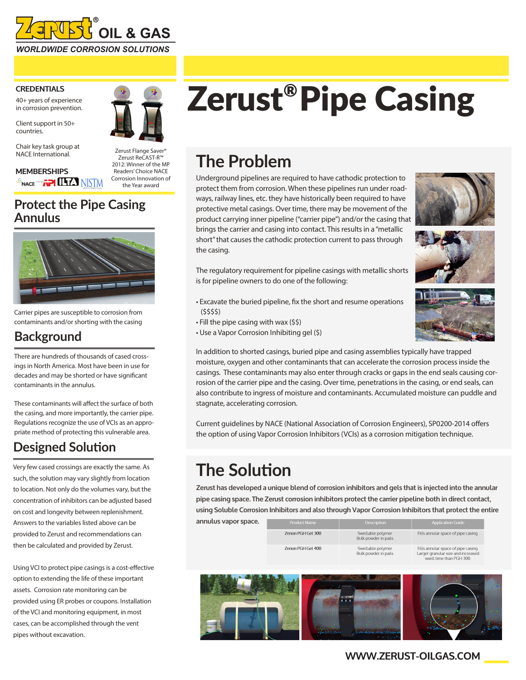

### **CREDENTIALS**

40+ years of experience in corrosion prevention.

Client support in 50+ countries.

Chair key task group at NACE International.

**MEMBERSHIPS SNACE WAS THE LITTED NISTM** 



Zerust ReCAST-R™ 2012: Winner of the MP Readers' Choice NACE Corrosion Innovation of the Year award

### **Protect the Pipe Casing Annulus**



Carrier pipes are susceptible to corrosion from contaminants and/or shorting with the casing

### **Background**

There are hundreds of thousands of cased crossings in North America. Most have been in use for decades and may be shorted or have significant contaminants in the annulus.

These contaminants will affect the surface of both the casing, and more importantly, the carrier pipe. Regulations recognize the use of VCIs as an appropriate method of protecting this vulnerable area.

### **Designed Solution**

Very few cased crossings are exactly the same. As such, the solution may vary slightly from location to location. Not only do the volumes vary, but the concentration of inhibitors can be adjusted based on cost and longevity between replenishment. Answers to the variables listed above can be provided to Zerust and recommendations can then be calculated and provided by Zerust.

Using VCI to protect pipe casings is a cost-effective option to extending the life of these important assets. Corrosion rate monitoring can be provided using ER probes or coupons. Installation of the VCI and monitoring equipment, in most cases, can be accomplished through the vent pipes without excavation.

# Zerust®Pipe Casing

# **The Problem**

Underground pipelines are required to have cathodic protection to protect them from corrosion. When these pipelines run under roadways, railway lines, etc. they have historically been required to have protective metal casings. Over time, there may be movement of the product carrying inner pipeline ("carrier pipe") and/or the casing that brings the carrier and casing into contact. This results in a "metallic short" that causes the cathodic protection current to pass through the casing.







The regulatory requirement for pipeline casings with metallic shorts is for pipeline owners to do one of the following:

- Excavate the buried pipeline, fix the short and resume operations (\$\$\$\$)
- Fill the pipe casing with wax (\$\$)
- Use a Vapor Corrosion Inhibiting gel (\$)

In addition to shorted casings, buried pipe and casing assemblies typically have trapped moisture, oxygen and other contaminants that can accelerate the corrosion process inside the casings. These contaminants may also enter through cracks or gaps in the end seals causing corrosion of the carrier pipe and the casing. Over time, penetrations in the casing, or end seals, can also contribute to ingress of moisture and contaminants. Accumulated moisture can puddle and stagnate, accelerating corrosion.

Current guidelines by NACE (National Association of Corrosion Engineers), SP0200-2014 offers the option of using Vapor Corrosion Inhibitors (VCIs) as a corrosion mitigation technique.

# **The Solution**

**Zerust has developed a unique blend of corrosion inhibitors and gels that is injected into the annular pipe casing space. The Zerust corrosion inhibitors protect the carrier pipeline both in direct contact, using Soluble Corrosion Inhibitors and also through Vapor Corrosion Inhibitors that protect the entire** 

**annulus vapor space.**

| Product Name       | Description                                 |
|--------------------|---------------------------------------------|
| Zerion PGH Gel 300 | Swellable polymer.<br>Bulk powder in pails. |
| Zerion PGH Gel 400 | Swellable polymer.                          |

Fills annular space of pipe casing. Bulk powder in pails.

Fills annular space of pipe casing. Larger granular size and increased<br>swell time than PGH 300.